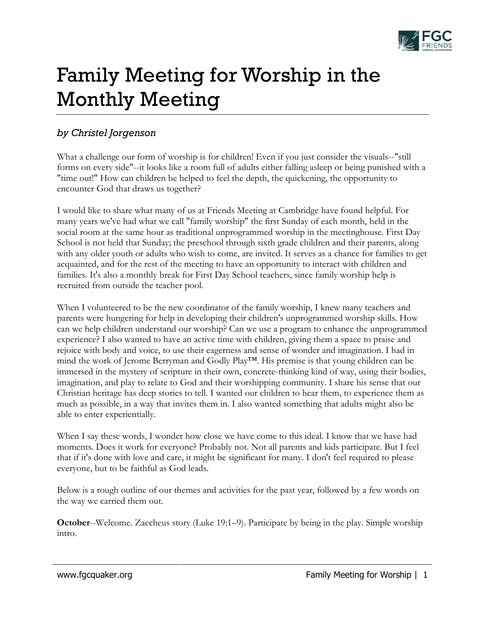

# Family Meeting for Worship in the Monthly Meeting

## *by Christel Jorgenson*

What a challenge our form of worship is for children! Even if you just consider the visuals--"still forms on every side"--it looks like a room full of adults either falling asleep or being punished with a "time out!" How can children be helped to feel the depth, the quickening, the opportunity to encounter God that draws us together?

I would like to share what many of us at Friends Meeting at Cambridge have found helpful. For many years we've had what we call "family worship" the first Sunday of each month, held in the social room at the same hour as traditional unprogrammed worship in the meetinghouse. First Day School is not held that Sunday; the preschool through sixth grade children and their parents, along with any older youth or adults who wish to come, are invited. It serves as a chance for families to get acquainted, and for the rest of the meeting to have an opportunity to interact with children and families. It's also a monthly break for First Day School teachers, since family worship help is recruited from outside the teacher pool.

When I volunteered to be the new coordinator of the family worship, I knew many teachers and parents were hungering for help in developing their children's unprogrammed worship skills. How can we help children understand our worship? Can we use a program to enhance the unprogrammed experience? I also wanted to have an active time with children, giving them a space to praise and rejoice with body and voice, to use their eagerness and sense of wonder and imagination. I had in mind the work of Jerome Berryman and Godly Play™. His premise is that young children can be immersed in the mystery of scripture in their own, concrete-thinking kind of way, using their bodies, imagination, and play to relate to God and their worshipping community. I share his sense that our Christian heritage has deep stories to tell. I wanted our children to hear them, to experience them as much as possible, in a way that invites them in. I also wanted something that adults might also be able to enter experientially.

When I say these words, I wonder how close we have come to this ideal. I know that we have had moments. Does it work for everyone? Probably not. Not all parents and kids participate. But I feel that if it's done with love and care, it might be significant for many. I don't feel required to please everyone, but to be faithful as God leads.

Below is a rough outline of our themes and activities for the past year, followed by a few words on the way we carried them out.

**October**--Welcome. Zaccheus story (Luke 19:1–9). Participate by being in the play. Simple worship intro.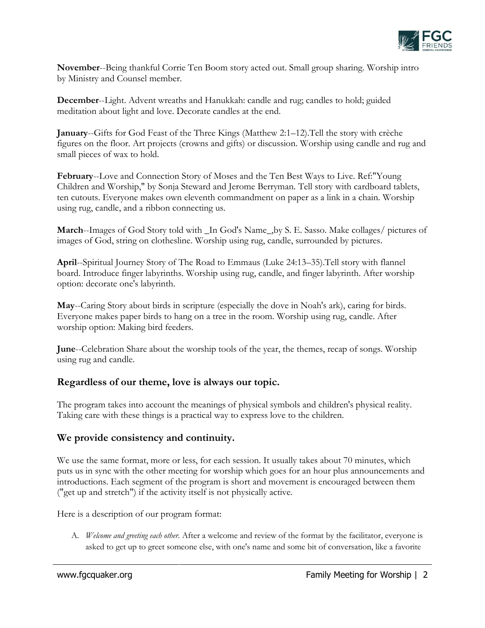

**November**--Being thankful Corrie Ten Boom story acted out. Small group sharing. Worship intro by Ministry and Counsel member.

**December**--Light. Advent wreaths and Hanukkah: candle and rug; candles to hold; guided meditation about light and love. Decorate candles at the end.

**January**--Gifts for God Feast of the Three Kings (Matthew 2:1–12).Tell the story with crèche figures on the floor. Art projects (crowns and gifts) or discussion. Worship using candle and rug and small pieces of wax to hold.

**February**--Love and Connection Story of Moses and the Ten Best Ways to Live. Ref:"Young Children and Worship," by Sonja Steward and Jerome Berryman. Tell story with cardboard tablets, ten cutouts. Everyone makes own eleventh commandment on paper as a link in a chain. Worship using rug, candle, and a ribbon connecting us.

**March**--Images of God Story told with \_In God's Name\_,by S. E. Sasso. Make collages/ pictures of images of God, string on clothesline. Worship using rug, candle, surrounded by pictures.

**April**--Spiritual Journey Story of The Road to Emmaus (Luke 24:13–35).Tell story with flannel board. Introduce finger labyrinths. Worship using rug, candle, and finger labyrinth. After worship option: decorate one's labyrinth.

**May**--Caring Story about birds in scripture (especially the dove in Noah's ark), caring for birds. Everyone makes paper birds to hang on a tree in the room. Worship using rug, candle. After worship option: Making bird feeders.

**June**--Celebration Share about the worship tools of the year, the themes, recap of songs. Worship using rug and candle.

### **Regardless of our theme, love is always our topic.**

The program takes into account the meanings of physical symbols and children's physical reality. Taking care with these things is a practical way to express love to the children.

### **We provide consistency and continuity.**

We use the same format, more or less, for each session. It usually takes about 70 minutes, which puts us in sync with the other meeting for worship which goes for an hour plus announcements and introductions. Each segment of the program is short and movement is encouraged between them ("get up and stretch") if the activity itself is not physically active.

Here is a description of our program format:

A. *Welcome and greeting each other.* After a welcome and review of the format by the facilitator, everyone is asked to get up to greet someone else, with one's name and some bit of conversation, like a favorite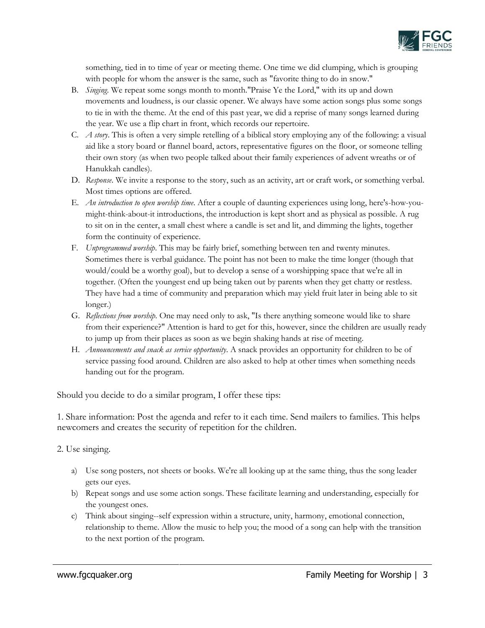

something, tied in to time of year or meeting theme. One time we did clumping, which is grouping with people for whom the answer is the same, such as "favorite thing to do in snow."

- B. *Singing*. We repeat some songs month to month."Praise Ye the Lord," with its up and down movements and loudness, is our classic opener. We always have some action songs plus some songs to tie in with the theme. At the end of this past year, we did a reprise of many songs learned during the year. We use a flip chart in front, which records our repertoire.
- C. *A story*. This is often a very simple retelling of a biblical story employing any of the following: a visual aid like a story board or flannel board, actors, representative figures on the floor, or someone telling their own story (as when two people talked about their family experiences of advent wreaths or of Hanukkah candles).
- D. *Response*. We invite a response to the story, such as an activity, art or craft work, or something verbal. Most times options are offered.
- E. *An introduction to open worship time*. After a couple of daunting experiences using long, here's-how-youmight-think-about-it introductions, the introduction is kept short and as physical as possible. A rug to sit on in the center, a small chest where a candle is set and lit, and dimming the lights, together form the continuity of experience.
- F. *Unprogrammed worship*. This may be fairly brief, something between ten and twenty minutes. Sometimes there is verbal guidance. The point has not been to make the time longer (though that would/could be a worthy goal), but to develop a sense of a worshipping space that we're all in together. (Often the youngest end up being taken out by parents when they get chatty or restless. They have had a time of community and preparation which may yield fruit later in being able to sit longer.)
- G. *Reflections from worship*. One may need only to ask, "Is there anything someone would like to share from their experience?" Attention is hard to get for this, however, since the children are usually ready to jump up from their places as soon as we begin shaking hands at rise of meeting.
- H. *Announcements and snack as service opportunity*. A snack provides an opportunity for children to be of service passing food around. Children are also asked to help at other times when something needs handing out for the program.

Should you decide to do a similar program, I offer these tips:

1. Share information: Post the agenda and refer to it each time. Send mailers to families. This helps newcomers and creates the security of repetition for the children.

2. Use singing.

- a) Use song posters, not sheets or books. We're all looking up at the same thing, thus the song leader gets our eyes.
- b) Repeat songs and use some action songs. These facilitate learning and understanding, especially for the youngest ones.
- c) Think about singing--self expression within a structure, unity, harmony, emotional connection, relationship to theme. Allow the music to help you; the mood of a song can help with the transition to the next portion of the program.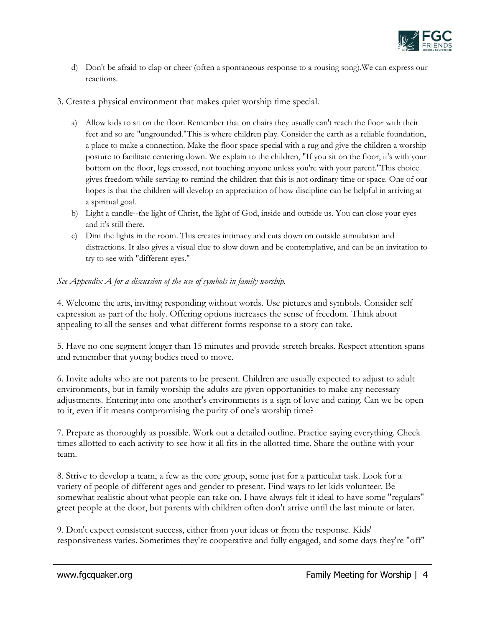

- d) Don't be afraid to clap or cheer (often a spontaneous response to a rousing song).We can express our reactions.
- 3. Create a physical environment that makes quiet worship time special.
	- a) Allow kids to sit on the floor. Remember that on chairs they usually can't reach the floor with their feet and so are "ungrounded."This is where children play. Consider the earth as a reliable foundation, a place to make a connection. Make the floor space special with a rug and give the children a worship posture to facilitate centering down. We explain to the children, "If you sit on the floor, it's with your bottom on the floor, legs crossed, not touching anyone unless you're with your parent."This choice gives freedom while serving to remind the children that this is not ordinary time or space. One of our hopes is that the children will develop an appreciation of how discipline can be helpful in arriving at a spiritual goal.
	- b) Light a candle--the light of Christ, the light of God, inside and outside us. You can close your eyes and it's still there.
	- c) Dim the lights in the room. This creates intimacy and cuts down on outside stimulation and distractions. It also gives a visual clue to slow down and be contemplative, and can be an invitation to try to see with "different eyes."

#### *See Appendix A for a discussion of the use of symbols in family worship.*

4. Welcome the arts, inviting responding without words. Use pictures and symbols. Consider self expression as part of the holy. Offering options increases the sense of freedom. Think about appealing to all the senses and what different forms response to a story can take.

5. Have no one segment longer than 15 minutes and provide stretch breaks. Respect attention spans and remember that young bodies need to move.

6. Invite adults who are not parents to be present. Children are usually expected to adjust to adult environments, but in family worship the adults are given opportunities to make any necessary adjustments. Entering into one another's environments is a sign of love and caring. Can we be open to it, even if it means compromising the purity of one's worship time?

7. Prepare as thoroughly as possible. Work out a detailed outline. Practice saying everything. Check times allotted to each activity to see how it all fits in the allotted time. Share the outline with your team.

8. Strive to develop a team, a few as the core group, some just for a particular task. Look for a variety of people of different ages and gender to present. Find ways to let kids volunteer. Be somewhat realistic about what people can take on. I have always felt it ideal to have some "regulars" greet people at the door, but parents with children often don't arrive until the last minute or later.

9. Don't expect consistent success, either from your ideas or from the response. Kids' responsiveness varies. Sometimes they're cooperative and fully engaged, and some days they're "off"